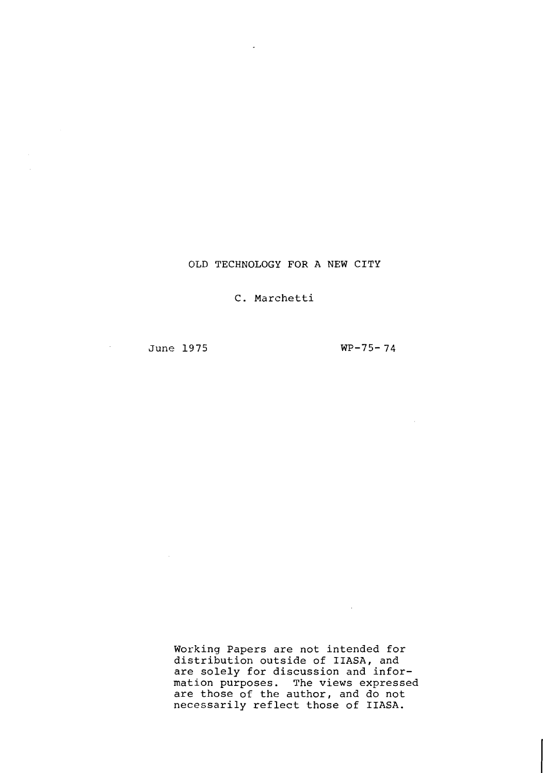## **OLD TECHNOLOGY FOR A NEW CITY**

**C. Marchetti** 

**June 1975** 

 $\sim$ 

 $\mathcal{L}^{\pm}$ 

 $WP-75-74$ 

**College** 

**Working Papers are not intended for distribution outside of IIASA, and are solely for discussion and information purposes. The views expressed are those of the author, and do not necessarily reflect those of IIASA.**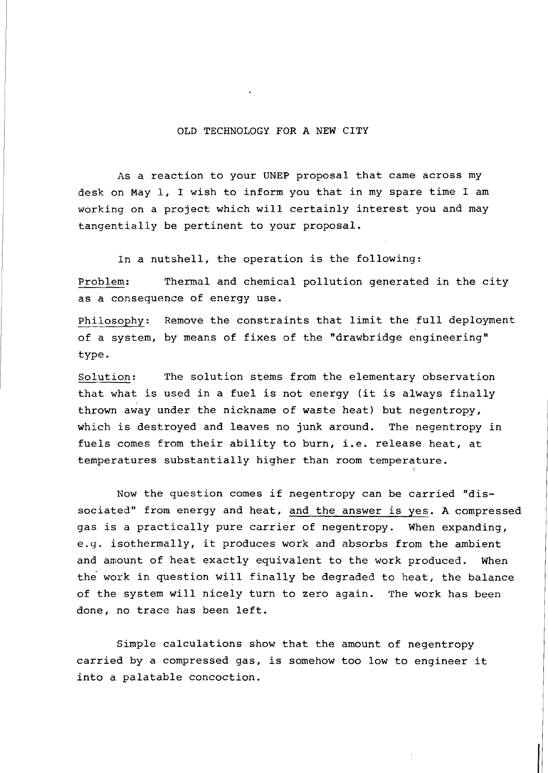## OLD TECHNOLOGY FOR A NEW CITY

As a reaction to your UNEP proposal that came across my desk on May 1, I wish to inform you that in my spare time I am working on a project which will certainly interest you and may tangentially be pertinent to your proposal.

In a nutshell, the operation is the following:

Problem: Thermal and chemical pollution generated in the city as a consequence of energy use.

Philosophy: Remove the constraints that limit the full deployment of a system, by means of fixes of the "drawbridge engineering" type

Solution: The solution stems from the elementary observation that what is used in a fuel is not energy (it is always finally thrown away under the nickname of waste heat) but negentropy , which is destroyed and leaves no junk around. The negentropy in fuels comes from their ability to burn, i.e. release heat, at temperatures substantially higher than room temperature.

NOW the question comes if negentropy can be carried "dissociated" from energy and heat, and the answer is yes. A compressed gas is a practically pure carrier of negentropy. When expanding, e.9. isothermally, it produces work and absorbs from the ambient and amount of heat exactly equivalent to the work produced. When the work in question will finally be degraded to heat, the balance of the system will nicely turn to zero again. The work has been done, no trace has been left.

Simple calculations show that the amount of negentropy carried by a compressed gas, is somehow too low to engineer it into a palatable concoction.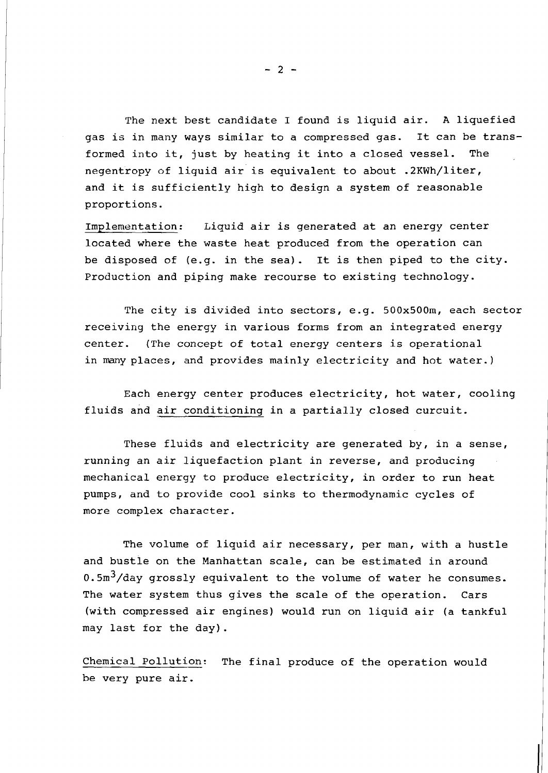The next best candidate I found is liquid air. **A** liquefied gas is in many ways similar to a compressed gas. It can be transformed into it, just by heating it into a closed vessel. The negentropy of liquid air is equivalent to about .2KWh/liter, and it is sufficiently high to design a system of reasonable proportions.

Implementation: Liquid air is generated at an energy center located where the waste heat produced from the operation can be disposed of (e.g. in the sea) . It is then piped to the city. Production and piping make recourse to existing technology.

The city is divided into sectors, e.g.  $500x500m$ , each sector receiving the energy in various forms from an integrated energy center. (The concept of total energy centers is operational in many places, and provides mainly electricity and hot water.)

Each energy center produces electricity, hot water, cooling fluids and air conditioning in a partially closed curcuit.

These fluids and electricity are generated by, in a sense, running an air liquefaction plant in reverse, and producing mechanical energy to produce electricity, in order to run heat pumps, and to provide cool sinks to thermodynamic cycles of more complex character.

The volume of liquid air necessary, per man, with a hustle and bustle on the Manhattan scale, can be estimated in around  $0.5 \text{m}^3$ /day grossly equivalent to the volume of water he consumes. The water system thus gives the scale of the operation. Cars (with compressed air engines) would run on liquid air (a tankful may last for the day).

Chemical Pollution: The final produce of the operation would be very pure air.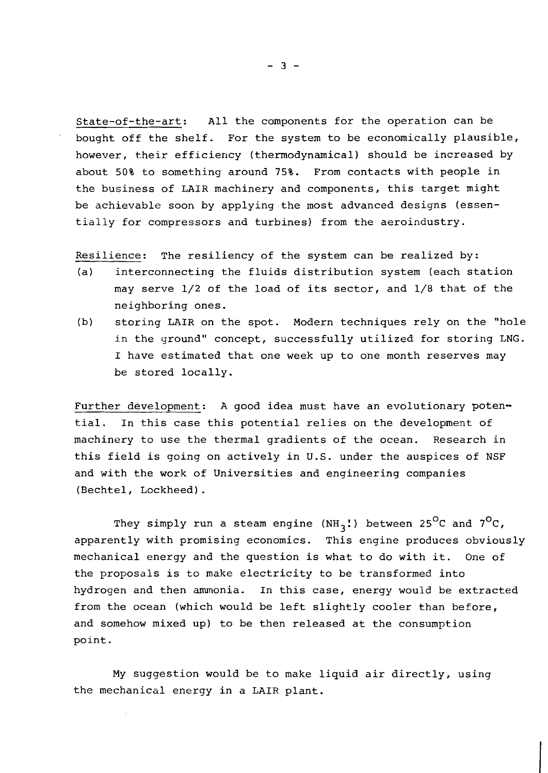State-of-the-art: All the components for the operation can be bought off the shelf. For the system to be economically plausible, however, their efficiency (thermodynamical) should be increased by about 50% to something around 75%. From contacts with people in the business of LAIR machinery and components, this target might be achievable soon by applying the most advanced designs (essentially for compressors and turbines) from the aeroindustry.

Resilience: The resiliency of the system can be realized by:

- (a) interconnecting the fluids distribution system (each station may serve 1/2 of the load of its sector, and 1/8 that of the neighboring ones.
- (b) storing LAIR on the spot. Modern techniques rely on the "hole in the ground" concept, successfully utilized for storing LNG. I have estimated that one week up to one month reserves may be stored locally.

Further development: A good idea must have an evolutionary potential. In this case this potential relies on the development of machinery to use the thermal gradients of the ocean. Research in this field is going on actively in U.S. under the auspices of NSF and with the work of Universities and engineering companies (Bechtel, Lockheed) .

They simply run a steam engine  $(NH_3!)$  between 25<sup>O</sup>C and 7<sup>O</sup>C, apparently with promising economics. This engine produces obviously mechanical energy and the question is what to do with it. One of the proposals is to make electricity to be transformed into hydrogen and then ammonia. In this case, energy would be extracted from the ocean (which would be left slightly cooler than before, and somehow mixed up) to be then released at the consumption point.

My suggestion would be to make liquid air directly, using the mechanical energy in a LAIR plant.